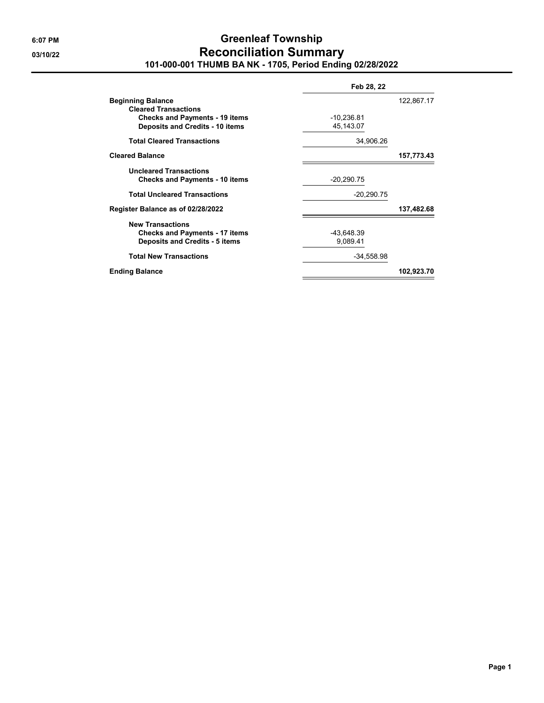### **6:07 PM Greenleaf Township 03/10/22 Reconciliation Summary 101-000-001 THUMB BA NK - 1705, Period Ending 02/28/2022**

| Feb 28, 22             |            |  |
|------------------------|------------|--|
|                        | 122,867.17 |  |
| $-10,236.81$           |            |  |
| 45,143.07              |            |  |
| 34,906.26              |            |  |
|                        | 157,773.43 |  |
| $-20,290.75$           |            |  |
| $-20,290.75$           |            |  |
|                        | 137,482.68 |  |
| -43,648.39<br>9,089.41 |            |  |
| $-34,558.98$           |            |  |
|                        | 102,923.70 |  |
|                        |            |  |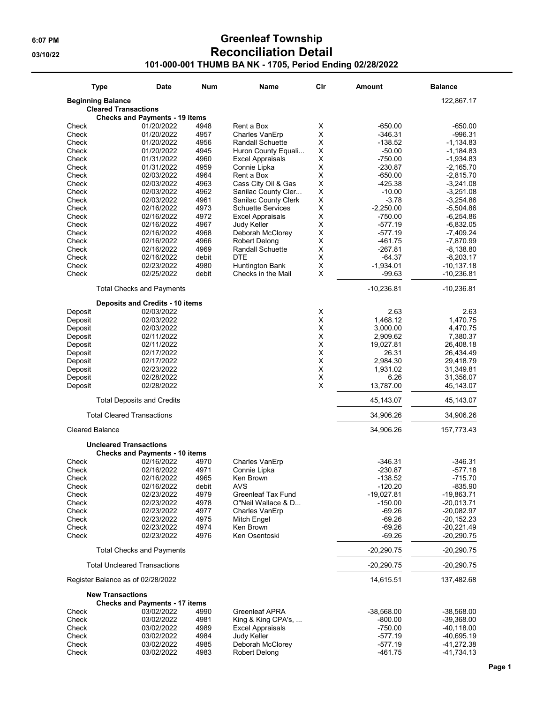## **6:07 PM Greenleaf Township 03/10/22 Reconciliation Detail 101-000-001 THUMB BA NK - 1705, Period Ending 02/28/2022**

| <b>Type</b>                         | Date                                                                   | Num   | Name                       | Cir              | Amount                 | <b>Balance</b>         |
|-------------------------------------|------------------------------------------------------------------------|-------|----------------------------|------------------|------------------------|------------------------|
| <b>Beginning Balance</b>            |                                                                        |       |                            |                  |                        | 122,867.17             |
|                                     | <b>Cleared Transactions</b>                                            |       |                            |                  |                        |                        |
|                                     | <b>Checks and Payments - 19 items</b>                                  |       |                            |                  |                        |                        |
| Check                               | 01/20/2022                                                             | 4948  | Rent a Box                 | Χ                | $-650.00$              | -650.00                |
| Check                               | 01/20/2022                                                             | 4957  | Charles VanErp             | X                | $-346.31$              | -996.31                |
| Check                               | 01/20/2022                                                             | 4956  | <b>Randall Schuette</b>    | X                | $-138.52$              | $-1,134.83$            |
| Check                               | 01/20/2022                                                             | 4945  | Huron County Equali        | X                | $-50.00$               | $-1,184.83$            |
| Check                               | 01/31/2022                                                             | 4960  | <b>Excel Appraisals</b>    | X                | $-750.00$              | $-1,934.83$            |
| Check                               | 01/31/2022                                                             | 4959  | Connie Lipka               | X                | $-230.87$              | $-2,165.70$            |
| Check                               | 02/03/2022                                                             | 4964  | Rent a Box                 | X                | $-650.00$              | $-2,815.70$            |
| Check                               | 02/03/2022                                                             | 4963  | Cass City Oil & Gas        | X                | $-425.38$              | $-3,241.08$            |
| Check                               | 02/03/2022                                                             | 4962  | Sanilac County Cler        | X                | $-10.00$               | $-3,251.08$            |
| Check                               | 02/03/2022                                                             | 4961  | Sanilac County Clerk       | X                | $-3.78$                | $-3,254.86$            |
|                                     |                                                                        |       |                            | $\mathsf X$      |                        |                        |
| Check                               | 02/16/2022                                                             | 4973  | <b>Schuette Services</b>   |                  | $-2,250.00$            | $-5,504.86$            |
| Check                               | 02/16/2022                                                             | 4972  | Excel Appraisals           | X                | -750.00                | $-6,254.86$            |
| Check                               | 02/16/2022                                                             | 4967  | Judy Keller                | X                | -577.19                | $-6,832.05$            |
| Check                               | 02/16/2022                                                             | 4968  | Deborah McClorey           | Χ                | $-577.19$              | $-7,409.24$            |
| Check                               | 02/16/2022                                                             | 4966  | Robert Delong              | X                | $-461.75$              | $-7,870.99$            |
| Check                               | 02/16/2022                                                             | 4969  | <b>Randall Schuette</b>    | X                | -267.81                | $-8,138.80$            |
| Check                               | 02/16/2022                                                             | debit | DTE                        | X                | -64.37                 | $-8,203.17$            |
| Check                               | 02/23/2022                                                             | 4980  | Huntington Bank            | X                | $-1,934.01$            | $-10, 137.18$          |
| Check                               | 02/25/2022                                                             | debit | Checks in the Mail         | X                | -99.63                 | $-10,236.81$           |
|                                     | <b>Total Checks and Payments</b>                                       |       |                            |                  | $-10,236.81$           | $-10,236.81$           |
|                                     | <b>Deposits and Credits - 10 items</b>                                 |       |                            |                  |                        |                        |
| Deposit                             | 02/03/2022                                                             |       |                            | X                | 2.63                   | 2.63                   |
| Deposit                             | 02/03/2022                                                             |       |                            | X                | 1,468.12               | 1,470.75               |
| Deposit                             | 02/03/2022                                                             |       |                            | X                | 3,000.00               | 4,470.75               |
| Deposit                             | 02/11/2022                                                             |       |                            | X                | 2,909.62               | 7,380.37               |
|                                     |                                                                        |       |                            | X                | 19,027.81              |                        |
| Deposit                             | 02/11/2022                                                             |       |                            |                  |                        | 26,408.18              |
| Deposit                             | 02/17/2022                                                             |       |                            | X                | 26.31                  | 26,434.49              |
| Deposit                             | 02/17/2022                                                             |       |                            | X                | 2,984.30               | 29,418.79              |
| Deposit                             | 02/23/2022                                                             |       |                            | $\sf X$          | 1,931.02               | 31,349.81              |
| Deposit                             | 02/28/2022<br>02/28/2022                                               |       |                            | $\mathsf X$<br>X | 6.26<br>13,787.00      | 31,356.07              |
| Deposit                             |                                                                        |       |                            |                  |                        | 45,143.07              |
|                                     | <b>Total Deposits and Credits</b><br><b>Total Cleared Transactions</b> |       |                            |                  | 45,143.07<br>34,906.26 | 45,143.07<br>34,906.26 |
|                                     |                                                                        |       |                            |                  |                        |                        |
| <b>Cleared Balance</b>              |                                                                        |       |                            |                  | 34,906.26              | 157,773.43             |
|                                     | <b>Uncleared Transactions</b>                                          |       |                            |                  |                        |                        |
|                                     | <b>Checks and Payments - 10 items</b>                                  |       |                            |                  |                        |                        |
| Check                               | 02/16/2022                                                             | 4970  | Charles VanErp             |                  | $-346.31$              | $-346.31$              |
| Check                               | 02/16/2022                                                             | 4971  | Connie Lipka               |                  | $-230.87$              | $-577.18$              |
| Check                               | 02/16/2022                                                             | 4965  | Ken Brown                  |                  | $-138.52$              | $-715.70$              |
| Check                               | 02/16/2022                                                             | debit | AVS                        |                  | $-120.20$              | $-835.90$              |
| Check                               | 02/23/2022                                                             | 4979  | Greenleaf Tax Fund         |                  | $-19,027.81$           | $-19,863.71$           |
| Check                               | 02/23/2022                                                             | 4978  | O"Neil Wallace & D         |                  | $-150.00$              | $-20,013.71$           |
| Check                               | 02/23/2022                                                             | 4977  | Charles VanErp             |                  | $-69.26$               | $-20,082.97$           |
| Check                               | 02/23/2022                                                             | 4975  | Mitch Engel                |                  | -69.26                 | $-20, 152.23$          |
| Check                               | 02/23/2022                                                             | 4974  | Ken Brown                  |                  | $-69.26$               | $-20,221.49$           |
| Check                               | 02/23/2022                                                             | 4976  | Ken Osentoski              |                  | $-69.26$               | $-20,290.75$           |
|                                     | <b>Total Checks and Payments</b>                                       |       |                            |                  | $-20,290.75$           | -20,290.75             |
| <b>Total Uncleared Transactions</b> |                                                                        |       |                            |                  | $-20,290.75$           | -20,290.75             |
|                                     | Register Balance as of 02/28/2022                                      |       |                            |                  | 14,615.51              | 137,482.68             |
|                                     | <b>New Transactions</b>                                                |       |                            |                  |                        |                        |
| Check                               | <b>Checks and Payments - 17 items</b><br>03/02/2022                    | 4990  | Greenleaf APRA             |                  | $-38,568.00$           | $-38,568.00$           |
|                                     |                                                                        |       |                            |                  |                        |                        |
| Check                               | 03/02/2022                                                             | 4981  | King & King CPA's, $\dots$ |                  | -800.00                | $-39,368.00$           |
| Check                               | 03/02/2022                                                             | 4989  | <b>Excel Appraisals</b>    |                  | -750.00                | $-40,118.00$           |
| Check                               | 03/02/2022                                                             | 4984  | Judy Keller                |                  | -577.19                | $-40,695.19$           |
| Check                               | 03/02/2022                                                             | 4985  | Deborah McClorey           |                  | $-577.19$              | -41,272.38             |
| Check                               | 03/02/2022                                                             | 4983  | Robert Delong              |                  | $-461.75$              | $-41,734.13$           |